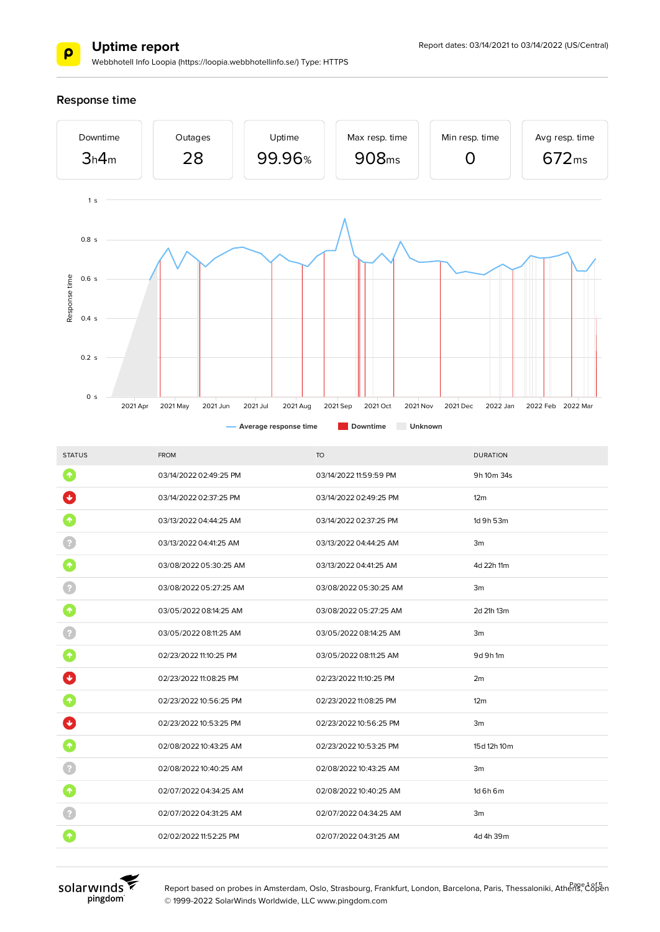

Webbhotell Info Loopia (https://loopia.webbhotellinfo.se/) Type: HTTPS

### **Response time**



| $\blacklozenge$<br>03/14/2022 02:49:25 PM<br>03/14/2022 11:59:59 PM<br>9h 10m 34s |  |
|-----------------------------------------------------------------------------------|--|
|                                                                                   |  |
| 03/14/2022 02:37:25 PM<br>03/14/2022 02:49:25 PM<br>12 <sub>m</sub>               |  |
| 03/14/2022 02:37:25 PM<br>1d 9h 53m<br>03/13/2022 04:44:25 AM                     |  |
| 03/13/2022 04:41:25 AM<br>03/13/2022 04:44:25 AM<br>3m                            |  |
| 03/08/2022 05:30:25 AM<br>03/13/2022 04:41:25 AM<br>4d 22h 11m                    |  |
| 03/08/2022 05:27:25 AM<br>03/08/2022 05:30:25 AM<br>3m                            |  |
| 03/05/2022 08:14:25 AM<br>03/08/2022 05:27:25 AM<br>2d 21h 13m                    |  |
| 03/05/2022 08:11:25 AM<br>03/05/2022 08:14:25 AM<br>3m                            |  |
| 02/23/2022 11:10:25 PM<br>03/05/2022 08:11:25 AM<br>9d 9h 1m                      |  |
| $\ddot{\mathbf{v}}$<br>02/23/2022 11:08:25 PM<br>02/23/2022 11:10:25 PM<br>2m     |  |
| 12 <sub>m</sub><br>02/23/2022 10:56:25 PM<br>02/23/2022 11:08:25 PM               |  |
| 02/23/2022 10:53:25 PM<br>02/23/2022 10:56:25 PM<br>3m                            |  |
| 02/08/2022 10:43:25 AM<br>15d 12h 10m<br>02/23/2022 10:53:25 PM                   |  |
| 02/08/2022 10:40:25 AM<br>02/08/2022 10:43:25 AM<br>3m                            |  |
| 个<br>1d 6h 6m<br>02/07/2022 04:34:25 AM<br>02/08/2022 10:40:25 AM                 |  |
| 02/07/2022 04:31:25 AM<br>02/07/2022 04:34:25 AM<br>3m                            |  |
| 02/02/2022 11:52:25 PM<br>02/07/2022 04:31:25 AM<br>4d 4h 39m                     |  |



Report based on probes in Amsterdam, Oslo, Strasbourg, Frankfurt, London, Barcelona, Paris, Thessaloniki, Athens, C8pen © 1999-2022 SolarWinds Worldwide, LLC www.pingdom.com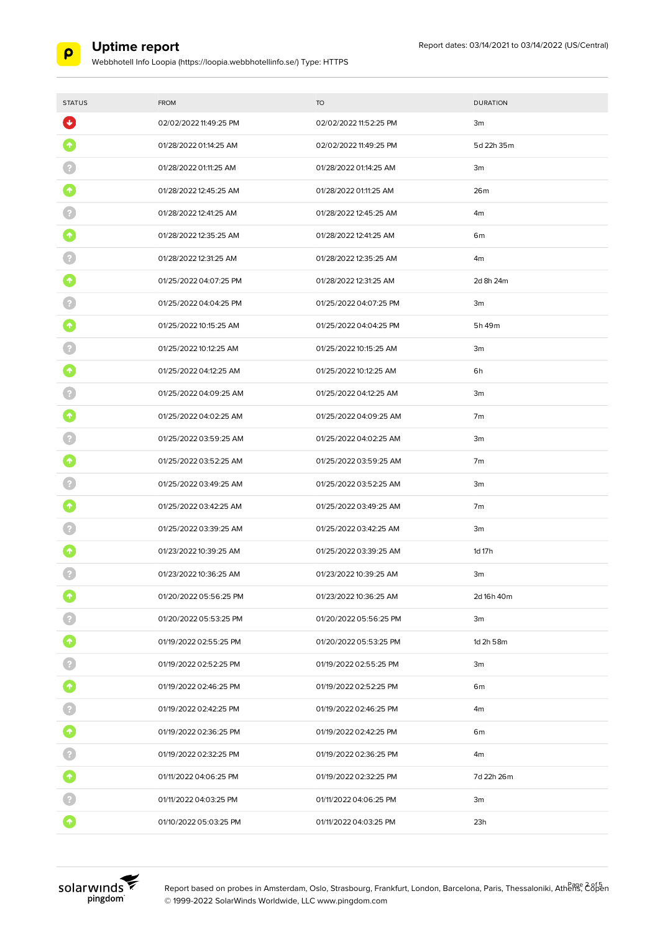

Webbhotell Info Loopia (https://loopia.webbhotellinfo.se/) Type: HTTPS

| <b>STATUS</b>               | <b>FROM</b>            | <b>TO</b>              | <b>DURATION</b> |
|-----------------------------|------------------------|------------------------|-----------------|
| $\left  \mathbf{v} \right $ | 02/02/2022 11:49:25 PM | 02/02/2022 11:52:25 PM | 3m              |
| 个                           | 01/28/2022 01:14:25 AM | 02/02/2022 11:49:25 PM | 5d 22h 35m      |
|                             | 01/28/2022 01:11:25 AM | 01/28/2022 01:14:25 AM | 3m              |
| $\blacklozenge$             | 01/28/2022 12:45:25 AM | 01/28/2022 01:11:25 AM | 26m             |
|                             | 01/28/2022 12:41:25 AM | 01/28/2022 12:45:25 AM | 4m              |
| $\boldsymbol{\Uparrow}$     | 01/28/2022 12:35:25 AM | 01/28/2022 12:41:25 AM | 6m              |
|                             | 01/28/2022 12:31:25 AM | 01/28/2022 12:35:25 AM | 4m              |
| $\blacklozenge$             | 01/25/2022 04:07:25 PM | 01/28/2022 12:31:25 AM | 2d 8h 24m       |
|                             | 01/25/2022 04:04:25 PM | 01/25/2022 04:07:25 PM | 3m              |
| $\pmb{\uparrow}$            | 01/25/2022 10:15:25 AM | 01/25/2022 04:04:25 PM | 5h 49m          |
|                             | 01/25/2022 10:12:25 AM | 01/25/2022 10:15:25 AM | 3m              |
| $\boldsymbol{\Uparrow}$     | 01/25/2022 04:12:25 AM | 01/25/2022 10:12:25 AM | 6h              |
|                             | 01/25/2022 04:09:25 AM | 01/25/2022 04:12:25 AM | 3m              |
|                             | 01/25/2022 04:02:25 AM | 01/25/2022 04:09:25 AM | 7m              |
|                             | 01/25/2022 03:59:25 AM | 01/25/2022 04:02:25 AM | 3m              |
| $\boldsymbol{\Uparrow}$     | 01/25/2022 03:52:25 AM | 01/25/2022 03:59:25 AM | 7m              |
|                             | 01/25/2022 03:49:25 AM | 01/25/2022 03:52:25 AM | 3m              |
| $\pmb{\uparrow}$            | 01/25/2022 03:42:25 AM | 01/25/2022 03:49:25 AM | 7m              |
|                             | 01/25/2022 03:39:25 AM | 01/25/2022 03:42:25 AM | 3m              |
| 个                           | 01/23/2022 10:39:25 AM | 01/25/2022 03:39:25 AM | 1d 17h          |
|                             | 01/23/2022 10:36:25 AM | 01/23/2022 10:39:25 AM | 3m              |
| $\blacklozenge$             | 01/20/2022 05:56:25 PM | 01/23/2022 10:36:25 AM | 2d 16h 40m      |
|                             | 01/20/2022 05:53:25 PM | 01/20/2022 05:56:25 PM | 3m              |
| $\blacklozenge$             | 01/19/2022 02:55:25 PM | 01/20/2022 05:53:25 PM | 1d 2h 58m       |
|                             | 01/19/2022 02:52:25 PM | 01/19/2022 02:55:25 PM | 3m              |
| $\blacklozenge$             | 01/19/2022 02:46:25 PM | 01/19/2022 02:52:25 PM | 6m              |
|                             | 01/19/2022 02:42:25 PM | 01/19/2022 02:46:25 PM | 4 <sub>m</sub>  |
| $\bullet$                   | 01/19/2022 02:36:25 PM | 01/19/2022 02:42:25 PM | 6 <sub>m</sub>  |
|                             | 01/19/2022 02:32:25 PM | 01/19/2022 02:36:25 PM | 4m              |
| $\pmb{\uparrow}$            | 01/11/2022 04:06:25 PM | 01/19/2022 02:32:25 PM | 7d 22h 26m      |
|                             | 01/11/2022 04:03:25 PM | 01/11/2022 04:06:25 PM | 3m              |
| $\hat{\mathcal{L}}$         | 01/10/2022 05:03:25 PM | 01/11/2022 04:03:25 PM | 23h             |



Report based on probes in Amsterdam, Oslo, Strasbourg, Frankfurt, London, Barcelona, Paris, Thessaloniki, Athens, C8pen © 1999-2022 SolarWinds Worldwide, LLC www.pingdom.com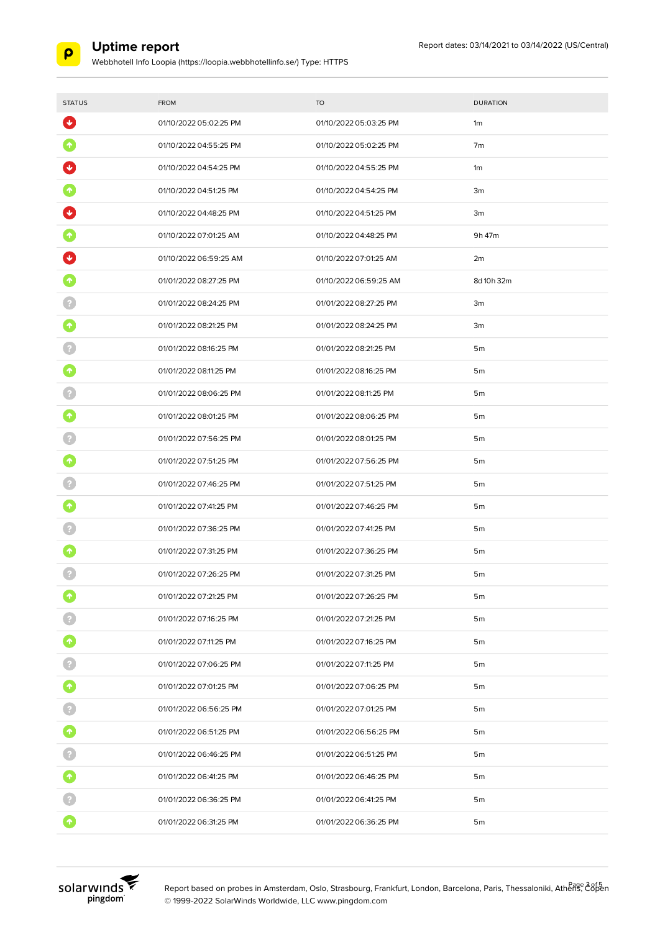

Webbhotell Info Loopia (https://loopia.webbhotellinfo.se/) Type: HTTPS

| <b>STATUS</b>       | <b>FROM</b>            | <b>TO</b>              | <b>DURATION</b> |
|---------------------|------------------------|------------------------|-----------------|
| $\ddot{\mathbf{v}}$ | 01/10/2022 05:02:25 PM | 01/10/2022 05:03:25 PM | 1m              |
|                     | 01/10/2022 04:55:25 PM | 01/10/2022 05:02:25 PM | 7m              |
|                     | 01/10/2022 04:54:25 PM | 01/10/2022 04:55:25 PM | 1m              |
|                     | 01/10/2022 04:51:25 PM | 01/10/2022 04:54:25 PM | 3m              |
|                     | 01/10/2022 04:48:25 PM | 01/10/2022 04:51:25 PM | 3m              |
|                     | 01/10/2022 07:01:25 AM | 01/10/2022 04:48:25 PM | 9h 47m          |
|                     | 01/10/2022 06:59:25 AM | 01/10/2022 07:01:25 AM | 2m              |
|                     | 01/01/2022 08:27:25 PM | 01/10/2022 06:59:25 AM | 8d 10h 32m      |
|                     | 01/01/2022 08:24:25 PM | 01/01/2022 08:27:25 PM | 3m              |
|                     | 01/01/2022 08:21:25 PM | 01/01/2022 08:24:25 PM | 3m              |
|                     | 01/01/2022 08:16:25 PM | 01/01/2022 08:21:25 PM | 5 <sub>m</sub>  |
|                     | 01/01/2022 08:11:25 PM | 01/01/2022 08:16:25 PM | 5 <sub>m</sub>  |
|                     | 01/01/2022 08:06:25 PM | 01/01/2022 08:11:25 PM | 5 <sub>m</sub>  |
|                     | 01/01/2022 08:01:25 PM | 01/01/2022 08:06:25 PM | 5 <sub>m</sub>  |
|                     | 01/01/2022 07:56:25 PM | 01/01/2022 08:01:25 PM | 5 <sub>m</sub>  |
|                     | 01/01/2022 07:51:25 PM | 01/01/2022 07:56:25 PM | 5 <sub>m</sub>  |
|                     | 01/01/2022 07:46:25 PM | 01/01/2022 07:51:25 PM | 5 <sub>m</sub>  |
|                     | 01/01/2022 07:41:25 PM | 01/01/2022 07:46:25 PM | 5 <sub>m</sub>  |
|                     | 01/01/2022 07:36:25 PM | 01/01/2022 07:41:25 PM | 5 <sub>m</sub>  |
|                     | 01/01/2022 07:31:25 PM | 01/01/2022 07:36:25 PM | 5 <sub>m</sub>  |
|                     | 01/01/2022 07:26:25 PM | 01/01/2022 07:31:25 PM | 5 <sub>m</sub>  |
|                     | 01/01/2022 07:21:25 PM | 01/01/2022 07:26:25 PM | 5m              |
|                     | 01/01/2022 07:16:25 PM | 01/01/2022 07:21:25 PM | 5m              |
| $\bullet$           | 01/01/2022 07:11:25 PM | 01/01/2022 07:16:25 PM | 5m              |
|                     | 01/01/2022 07:06:25 PM | 01/01/2022 07:11:25 PM | 5m              |
| $\bullet$           | 01/01/2022 07:01:25 PM | 01/01/2022 07:06:25 PM | 5m              |
| $\overline{P}$      | 01/01/2022 06:56:25 PM | 01/01/2022 07:01:25 PM | 5m              |
| $\blacklozenge$     | 01/01/2022 06:51:25 PM | 01/01/2022 06:56:25 PM | 5m              |
|                     | 01/01/2022 06:46:25 PM | 01/01/2022 06:51:25 PM | 5m              |
| $\bullet$           | 01/01/2022 06:41:25 PM | 01/01/2022 06:46:25 PM | 5m              |
|                     | 01/01/2022 06:36:25 PM | 01/01/2022 06:41:25 PM | 5 <sub>m</sub>  |
|                     | 01/01/2022 06:31:25 PM | 01/01/2022 06:36:25 PM | 5m              |



Report based on probes in Amsterdam, Oslo, Strasbourg, Frankfurt, London, Barcelona, Paris, Thessaloniki, Athenge 28f5 © 1999-2022 SolarWinds Worldwide, LLC www.pingdom.com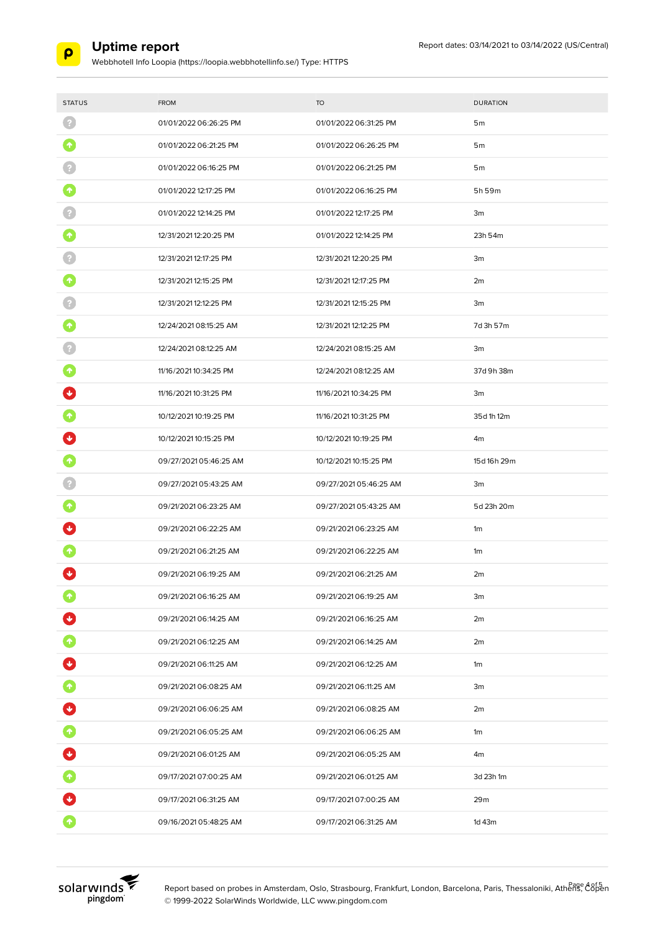

Webbhotell Info Loopia (https://loopia.webbhotellinfo.se/) Type: HTTPS

| <b>STATUS</b>      | <b>FROM</b>            | <b>TO</b>              | <b>DURATION</b> |
|--------------------|------------------------|------------------------|-----------------|
|                    | 01/01/2022 06:26:25 PM | 01/01/2022 06:31:25 PM | 5m              |
| ٠                  | 01/01/2022 06:21:25 PM | 01/01/2022 06:26:25 PM | 5m              |
|                    | 01/01/2022 06:16:25 PM | 01/01/2022 06:21:25 PM | 5 <sub>m</sub>  |
| $\hat{\mathbf{T}}$ | 01/01/2022 12:17:25 PM | 01/01/2022 06:16:25 PM | 5h 59m          |
|                    | 01/01/2022 12:14:25 PM | 01/01/2022 12:17:25 PM | 3m              |
|                    | 12/31/2021 12:20:25 PM | 01/01/2022 12:14:25 PM | 23h 54m         |
|                    | 12/31/2021 12:17:25 PM | 12/31/2021 12:20:25 PM | 3m              |
|                    | 12/31/2021 12:15:25 PM | 12/31/2021 12:17:25 PM | 2m              |
|                    | 12/31/2021 12:12:25 PM | 12/31/2021 12:15:25 PM | 3m              |
|                    | 12/24/2021 08:15:25 AM | 12/31/2021 12:12:25 PM | 7d 3h 57m       |
|                    | 12/24/2021 08:12:25 AM | 12/24/2021 08:15:25 AM | 3m              |
|                    | 11/16/2021 10:34:25 PM | 12/24/2021 08:12:25 AM | 37d 9h 38m      |
|                    | 11/16/2021 10:31:25 PM | 11/16/2021 10:34:25 PM | 3m              |
|                    | 10/12/2021 10:19:25 PM | 11/16/2021 10:31:25 PM | 35d 1h 12m      |
|                    | 10/12/2021 10:15:25 PM | 10/12/2021 10:19:25 PM | 4m              |
|                    | 09/27/202105:46:25 AM  | 10/12/2021 10:15:25 PM | 15d 16h 29m     |
|                    | 09/27/202105:43:25 AM  | 09/27/2021 05:46:25 AM | 3m              |
|                    | 09/21/2021 06:23:25 AM | 09/27/202105:43:25 AM  | 5d 23h 20m      |
|                    | 09/21/2021 06:22:25 AM | 09/21/2021 06:23:25 AM | 1m              |
|                    | 09/21/2021 06:21:25 AM | 09/21/2021 06:22:25 AM | 1m              |
|                    | 09/21/2021 06:19:25 AM | 09/21/2021 06:21:25 AM | 2m              |
|                    | 09/21/2021 06:16:25 AM | 09/21/2021 06:19:25 AM | 3m              |
|                    | 09/21/2021 06:14:25 AM | 09/21/2021 06:16:25 AM | 2m              |
| $\blacklozenge$    | 09/21/2021 06:12:25 AM | 09/21/2021 06:14:25 AM | 2m              |
| U                  | 09/21/2021 06:11:25 AM | 09/21/2021 06:12:25 AM | 1m              |
| $\bullet$          | 09/21/2021 06:08:25 AM | 09/21/2021 06:11:25 AM | 3m              |
| O                  | 09/21/2021 06:06:25 AM | 09/21/2021 06:08:25 AM | 2m              |
| $\bullet$          | 09/21/2021 06:05:25 AM | 09/21/2021 06:06:25 AM | 1m              |
| $\blacklozenge$    | 09/21/2021 06:01:25 AM | 09/21/2021 06:05:25 AM | 4m              |
| $\blacklozenge$    | 09/17/2021 07:00:25 AM | 09/21/2021 06:01:25 AM | 3d 23h 1m       |
|                    | 09/17/2021 06:31:25 AM | 09/17/2021 07:00:25 AM | 29m             |
|                    | 09/16/2021 05:48:25 AM | 09/17/2021 06:31:25 AM | 1d 43m          |



Report based on probes in Amsterdam, Oslo, Strasbourg, Frankfurt, London, Barcelona, Paris, Thessaloniki, Athenge A8f5 © 1999-2022 SolarWinds Worldwide, LLC www.pingdom.com